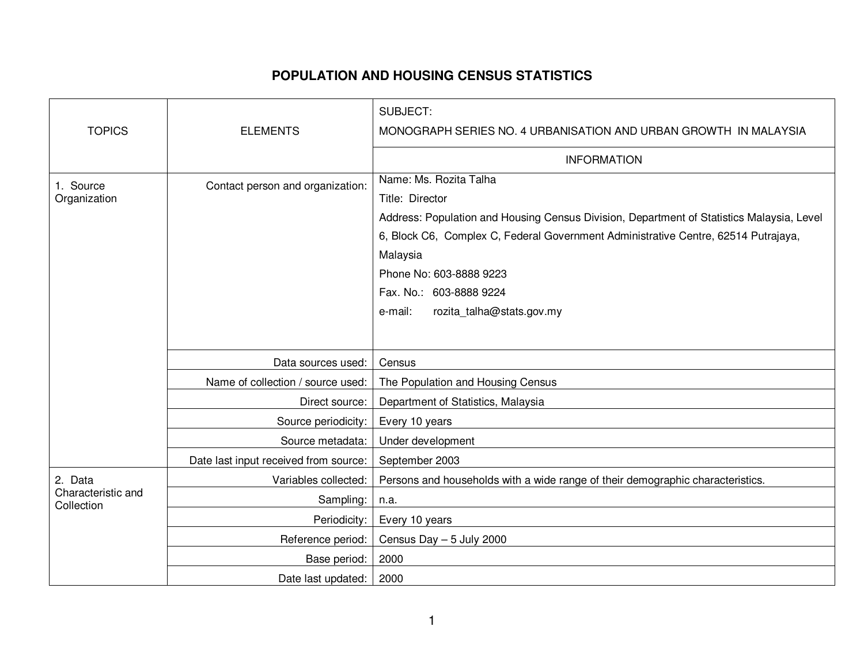## **POPULATION AND HOUSING CENSUS STATISTICS**

|                                             |                                       | SUBJECT:                                                                                  |
|---------------------------------------------|---------------------------------------|-------------------------------------------------------------------------------------------|
| <b>TOPICS</b>                               | <b>ELEMENTS</b>                       | MONOGRAPH SERIES NO. 4 URBANISATION AND URBAN GROWTH IN MALAYSIA                          |
|                                             |                                       | <b>INFORMATION</b>                                                                        |
| 1. Source<br>Organization                   | Contact person and organization:      | Name: Ms. Rozita Talha                                                                    |
|                                             |                                       | Title: Director                                                                           |
|                                             |                                       | Address: Population and Housing Census Division, Department of Statistics Malaysia, Level |
|                                             |                                       | 6, Block C6, Complex C, Federal Government Administrative Centre, 62514 Putrajaya,        |
|                                             |                                       | Malaysia                                                                                  |
|                                             |                                       | Phone No: 603-8888 9223                                                                   |
|                                             |                                       | Fax. No.: 603-8888 9224                                                                   |
|                                             |                                       | rozita_talha@stats.gov.my<br>e-mail:                                                      |
|                                             |                                       |                                                                                           |
|                                             | Data sources used:                    | Census                                                                                    |
|                                             | Name of collection / source used:     | The Population and Housing Census                                                         |
|                                             | Direct source:                        | Department of Statistics, Malaysia                                                        |
|                                             | Source periodicity:                   | Every 10 years                                                                            |
|                                             | Source metadata:                      | Under development                                                                         |
|                                             | Date last input received from source: | September 2003                                                                            |
| 2. Data<br>Characteristic and<br>Collection | Variables collected:                  | Persons and households with a wide range of their demographic characteristics.            |
|                                             | Sampling:                             | n.a.                                                                                      |
|                                             | Periodicity:                          | Every 10 years                                                                            |
|                                             | Reference period:                     | Census Day - 5 July 2000                                                                  |
|                                             | Base period:                          | 2000                                                                                      |
|                                             | Date last updated:                    | 2000                                                                                      |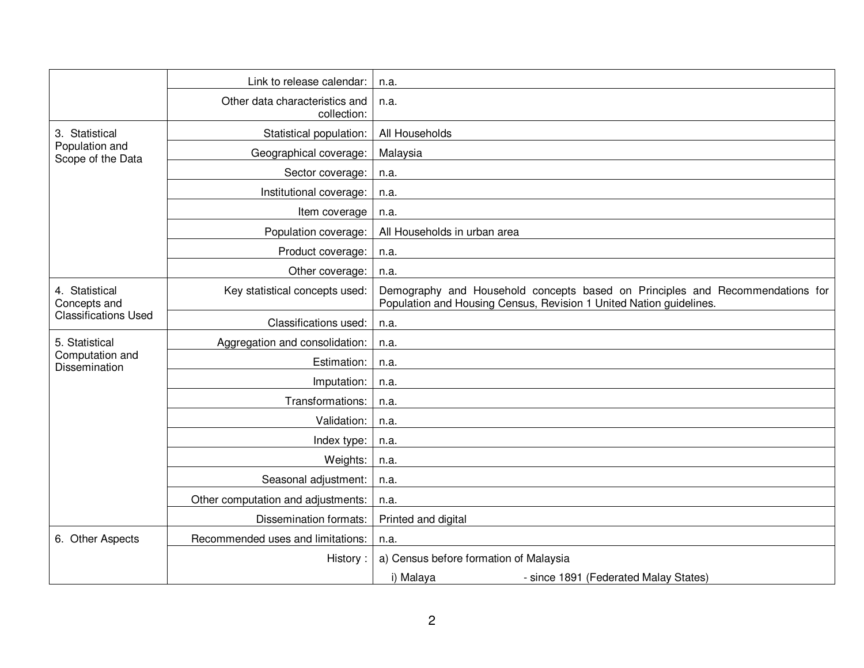|                                                               | Link to release calendar:                     | n.a.                                                                                                                                                 |
|---------------------------------------------------------------|-----------------------------------------------|------------------------------------------------------------------------------------------------------------------------------------------------------|
|                                                               | Other data characteristics and<br>collection: | n.a.                                                                                                                                                 |
| 3. Statistical<br>Population and<br>Scope of the Data         | Statistical population:                       | All Households                                                                                                                                       |
|                                                               | Geographical coverage:                        | Malaysia                                                                                                                                             |
|                                                               | Sector coverage:                              | n.a.                                                                                                                                                 |
|                                                               | Institutional coverage:                       | n.a.                                                                                                                                                 |
|                                                               | Item coverage                                 | n.a.                                                                                                                                                 |
|                                                               | Population coverage:                          | All Households in urban area                                                                                                                         |
|                                                               | Product coverage:                             | n.a.                                                                                                                                                 |
|                                                               | Other coverage:                               | n.a.                                                                                                                                                 |
| 4. Statistical<br>Concepts and<br><b>Classifications Used</b> | Key statistical concepts used:                | Demography and Household concepts based on Principles and Recommendations for<br>Population and Housing Census, Revision 1 United Nation guidelines. |
|                                                               | Classifications used:                         | n.a.                                                                                                                                                 |
| 5. Statistical<br>Computation and<br>Dissemination            | Aggregation and consolidation:                | n.a.                                                                                                                                                 |
|                                                               | Estimation:                                   | n.a.                                                                                                                                                 |
|                                                               | Imputation:                                   | n.a.                                                                                                                                                 |
|                                                               | Transformations:                              | n.a.                                                                                                                                                 |
|                                                               | Validation:                                   | n.a.                                                                                                                                                 |
|                                                               | Index type:                                   | n.a.                                                                                                                                                 |
|                                                               | Weights:                                      | n.a.                                                                                                                                                 |
|                                                               | Seasonal adjustment:                          | n.a.                                                                                                                                                 |
|                                                               | Other computation and adjustments:            | n.a.                                                                                                                                                 |
|                                                               | Dissemination formats:                        | Printed and digital                                                                                                                                  |
| 6. Other Aspects                                              | Recommended uses and limitations:             | n.a.                                                                                                                                                 |
|                                                               | History:                                      | a) Census before formation of Malaysia                                                                                                               |
|                                                               |                                               | i) Malaya<br>- since 1891 (Federated Malay States)                                                                                                   |